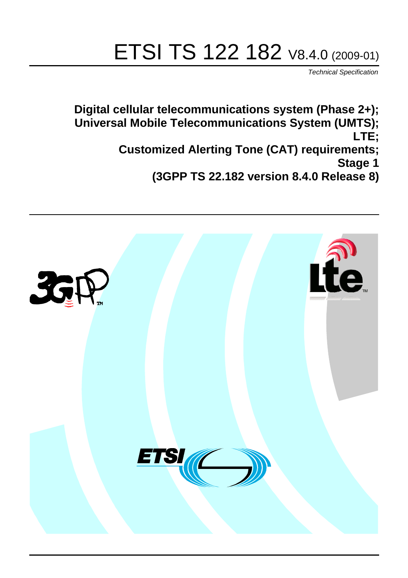# ETSI TS 122 182 V8.4.0 (2009-01)

*Technical Specification*

**Digital cellular telecommunications system (Phase 2+); Universal Mobile Telecommunications System (UMTS); LTE; Customized Alerting Tone (CAT) requirements; Stage 1 (3GPP TS 22.182 version 8.4.0 Release 8)**

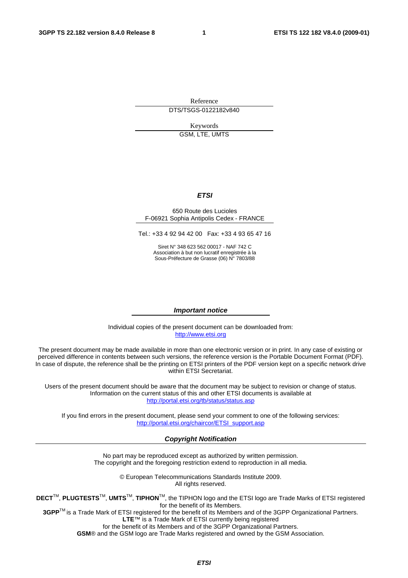Reference DTS/TSGS-0122182v840

Keywords

GSM, LTE, UMTS

#### *ETSI*

#### 650 Route des Lucioles F-06921 Sophia Antipolis Cedex - FRANCE

Tel.: +33 4 92 94 42 00 Fax: +33 4 93 65 47 16

Siret N° 348 623 562 00017 - NAF 742 C Association à but non lucratif enregistrée à la Sous-Préfecture de Grasse (06) N° 7803/88

#### *Important notice*

Individual copies of the present document can be downloaded from: [http://www.etsi.org](http://www.etsi.org/)

The present document may be made available in more than one electronic version or in print. In any case of existing or perceived difference in contents between such versions, the reference version is the Portable Document Format (PDF). In case of dispute, the reference shall be the printing on ETSI printers of the PDF version kept on a specific network drive within ETSI Secretariat.

Users of the present document should be aware that the document may be subject to revision or change of status. Information on the current status of this and other ETSI documents is available at <http://portal.etsi.org/tb/status/status.asp>

If you find errors in the present document, please send your comment to one of the following services: [http://portal.etsi.org/chaircor/ETSI\\_support.asp](http://portal.etsi.org/chaircor/ETSI_support.asp)

#### *Copyright Notification*

No part may be reproduced except as authorized by written permission. The copyright and the foregoing restriction extend to reproduction in all media.

> © European Telecommunications Standards Institute 2009. All rights reserved.

**DECT**TM, **PLUGTESTS**TM, **UMTS**TM, **TIPHON**TM, the TIPHON logo and the ETSI logo are Trade Marks of ETSI registered for the benefit of its Members.

**3GPP**TM is a Trade Mark of ETSI registered for the benefit of its Members and of the 3GPP Organizational Partners. **LTE**™ is a Trade Mark of ETSI currently being registered

for the benefit of its Members and of the 3GPP Organizational Partners.

**GSM**® and the GSM logo are Trade Marks registered and owned by the GSM Association.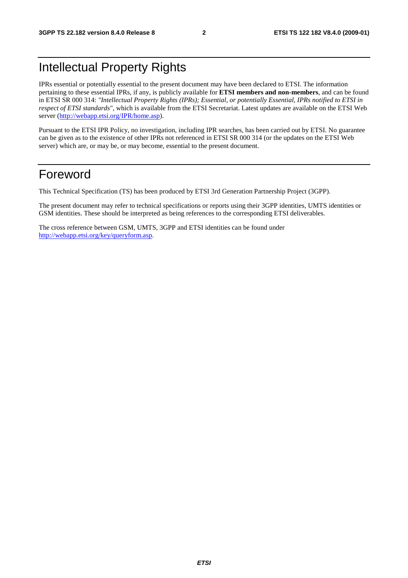# Intellectual Property Rights

IPRs essential or potentially essential to the present document may have been declared to ETSI. The information pertaining to these essential IPRs, if any, is publicly available for **ETSI members and non-members**, and can be found in ETSI SR 000 314: *"Intellectual Property Rights (IPRs); Essential, or potentially Essential, IPRs notified to ETSI in respect of ETSI standards"*, which is available from the ETSI Secretariat. Latest updates are available on the ETSI Web server ([http://webapp.etsi.org/IPR/home.asp\)](http://webapp.etsi.org/IPR/home.asp).

Pursuant to the ETSI IPR Policy, no investigation, including IPR searches, has been carried out by ETSI. No guarantee can be given as to the existence of other IPRs not referenced in ETSI SR 000 314 (or the updates on the ETSI Web server) which are, or may be, or may become, essential to the present document.

# Foreword

This Technical Specification (TS) has been produced by ETSI 3rd Generation Partnership Project (3GPP).

The present document may refer to technical specifications or reports using their 3GPP identities, UMTS identities or GSM identities. These should be interpreted as being references to the corresponding ETSI deliverables.

The cross reference between GSM, UMTS, 3GPP and ETSI identities can be found under [http://webapp.etsi.org/key/queryform.asp.](http://webapp.etsi.org/key/queryform.asp)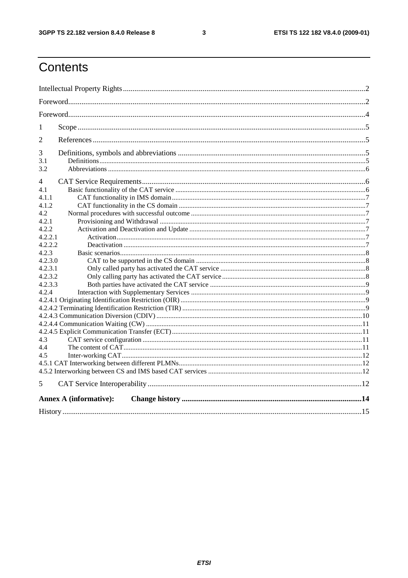$\mathbf{3}$ 

# Contents

| $\mathbf{1}$ |                               |  |
|--------------|-------------------------------|--|
| 2            |                               |  |
| 3            |                               |  |
| 3.1          |                               |  |
| 3.2          |                               |  |
| 4            |                               |  |
| 4.1          |                               |  |
| 4.1.1        |                               |  |
| 4.1.2        |                               |  |
| 4.2          |                               |  |
| 4.2.1        |                               |  |
| 4.2.2        |                               |  |
| 4.2.2.1      |                               |  |
| 4.2.2.2      |                               |  |
| 4.2.3        |                               |  |
| 4.2.3.0      |                               |  |
| 4.2.3.1      |                               |  |
| 4.2.3.2      |                               |  |
| 4.2.3.3      |                               |  |
| 4.2.4        |                               |  |
|              |                               |  |
|              |                               |  |
|              |                               |  |
|              |                               |  |
|              |                               |  |
| 4.3          |                               |  |
| 4.4          |                               |  |
| 4.5          |                               |  |
|              |                               |  |
|              |                               |  |
| 5            |                               |  |
|              | <b>Annex A (informative):</b> |  |
|              |                               |  |
|              |                               |  |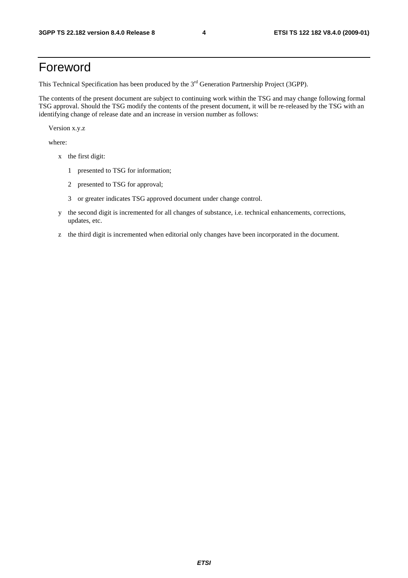# Foreword

This Technical Specification has been produced by the 3<sup>rd</sup> Generation Partnership Project (3GPP).

The contents of the present document are subject to continuing work within the TSG and may change following formal TSG approval. Should the TSG modify the contents of the present document, it will be re-released by the TSG with an identifying change of release date and an increase in version number as follows:

Version x.y.z

where:

- x the first digit:
	- 1 presented to TSG for information;
	- 2 presented to TSG for approval;
	- 3 or greater indicates TSG approved document under change control.
- y the second digit is incremented for all changes of substance, i.e. technical enhancements, corrections, updates, etc.
- z the third digit is incremented when editorial only changes have been incorporated in the document.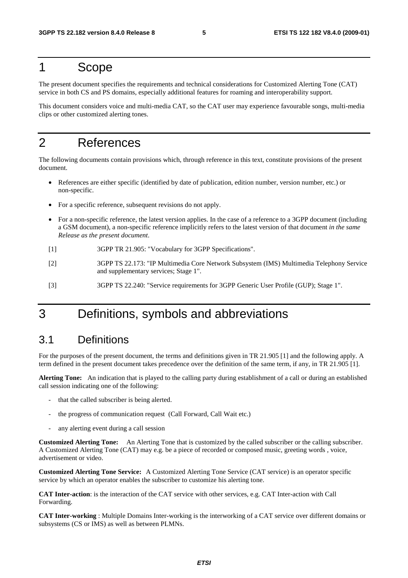## 1 Scope

The present document specifies the requirements and technical considerations for Customized Alerting Tone (CAT) service in both CS and PS domains, especially additional features for roaming and interoperability support.

This document considers voice and multi-media CAT, so the CAT user may experience favourable songs, multi-media clips or other customized alerting tones.

# 2 References

The following documents contain provisions which, through reference in this text, constitute provisions of the present document.

- References are either specific (identified by date of publication, edition number, version number, etc.) or non-specific.
- For a specific reference, subsequent revisions do not apply.
- For a non-specific reference, the latest version applies. In the case of a reference to a 3GPP document (including a GSM document), a non-specific reference implicitly refers to the latest version of that document *in the same Release as the present document*.
- [1] 3GPP TR 21.905: "Vocabulary for 3GPP Specifications".
- [2] 3GPP TS 22.173: "IP Multimedia Core Network Subsystem (IMS) Multimedia Telephony Service and supplementary services; Stage 1".
- [3] 3GPP TS 22.240: "Service requirements for 3GPP Generic User Profile (GUP); Stage 1".

# 3 Definitions, symbols and abbreviations

### 3.1 Definitions

For the purposes of the present document, the terms and definitions given in TR 21.905 [1] and the following apply. A term defined in the present document takes precedence over the definition of the same term, if any, in TR 21.905 [1].

**Alerting Tone:** An indication that is played to the calling party during establishment of a call or during an established call session indicating one of the following:

- that the called subscriber is being alerted.
- the progress of communication request (Call Forward, Call Wait etc.)
- any alerting event during a call session

**Customized Alerting Tone:** An Alerting Tone that is customized by the called subscriber or the calling subscriber. A Customized Alerting Tone (CAT) may e.g. be a piece of recorded or composed music, greeting words , voice, advertisement or video.

**Customized Alerting Tone Service:** A Customized Alerting Tone Service (CAT service) is an operator specific service by which an operator enables the subscriber to customize his alerting tone.

**CAT Inter-action**: is the interaction of the CAT service with other services, e.g. CAT Inter-action with Call Forwarding.

**CAT Inter-working** : Multiple Domains Inter-working is the interworking of a CAT service over different domains or subsystems (CS or IMS) as well as between PLMNs.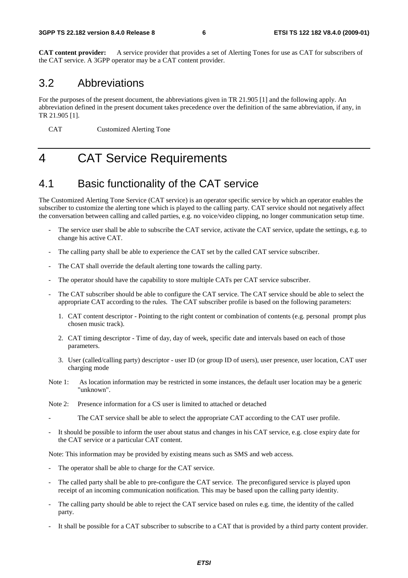**CAT content provider:** A service provider that provides a set of Alerting Tones for use as CAT for subscribers of the CAT service. A 3GPP operator may be a CAT content provider.

### 3.2 Abbreviations

For the purposes of the present document, the abbreviations given in TR 21.905 [1] and the following apply. An abbreviation defined in the present document takes precedence over the definition of the same abbreviation, if any, in TR 21.905 [1].

CAT Customized Alerting Tone

# 4 CAT Service Requirements

# 4.1 Basic functionality of the CAT service

The Customized Alerting Tone Service (CAT service) is an operator specific service by which an operator enables the subscriber to customize the alerting tone which is played to the calling party. CAT service should not negatively affect the conversation between calling and called parties, e.g. no voice/video clipping, no longer communication setup time.

- The service user shall be able to subscribe the CAT service, activate the CAT service, update the settings, e.g. to change his active CAT.
- The calling party shall be able to experience the CAT set by the called CAT service subscriber.
- The CAT shall override the default alerting tone towards the calling party.
- The operator should have the capability to store multiple CATs per CAT service subscriber.
- The CAT subscriber should be able to configure the CAT service. The CAT service should be able to select the appropriate CAT according to the rules. The CAT subscriber profile is based on the following parameters:
	- 1. CAT content descriptor Pointing to the right content or combination of contents (e.g. personal prompt plus chosen music track).
	- 2. CAT timing descriptor Time of day, day of week, specific date and intervals based on each of those parameters.
	- 3. User (called/calling party) descriptor user ID (or group ID of users), user presence, user location, CAT user charging mode
- Note 1: As location information may be restricted in some instances, the default user location may be a generic "unknown".
- Note 2: Presence information for a CS user is limited to attached or detached
- The CAT service shall be able to select the appropriate CAT according to the CAT user profile.
- It should be possible to inform the user about status and changes in his CAT service, e.g. close expiry date for the CAT service or a particular CAT content.

Note: This information may be provided by existing means such as SMS and web access.

- The operator shall be able to charge for the CAT service.
- The called party shall be able to pre-configure the CAT service. The preconfigured service is played upon receipt of an incoming communication notification. This may be based upon the calling party identity.
- The calling party should be able to reject the CAT service based on rules e.g. time, the identity of the called party.
- It shall be possible for a CAT subscriber to subscribe to a CAT that is provided by a third party content provider.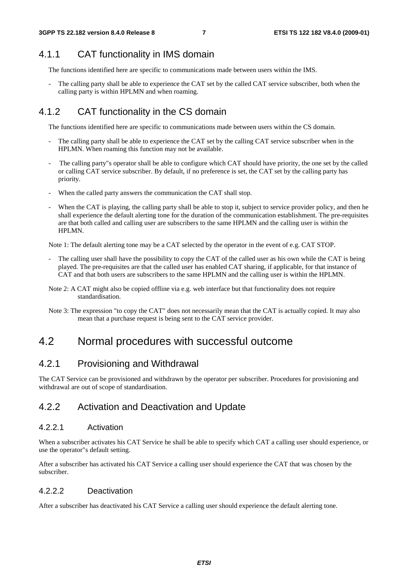# 4.1.1 CAT functionality in IMS domain

The functions identified here are specific to communications made between users within the IMS.

The calling party shall be able to experience the CAT set by the called CAT service subscriber, both when the calling party is within HPLMN and when roaming.

# 4.1.2 CAT functionality in the CS domain

The functions identified here are specific to communications made between users within the CS domain.

- The calling party shall be able to experience the CAT set by the calling CAT service subscriber when in the HPLMN. When roaming this function may not be available.
- The calling party"s operator shall be able to configure which CAT should have priority, the one set by the called or calling CAT service subscriber. By default, if no preference is set, the CAT set by the calling party has priority.
- When the called party answers the communication the CAT shall stop.
- When the CAT is playing, the calling party shall be able to stop it, subject to service provider policy, and then he shall experience the default alerting tone for the duration of the communication establishment. The pre-requisites are that both called and calling user are subscribers to the same HPLMN and the calling user is within the HPLMN.

Note 1: The default alerting tone may be a CAT selected by the operator in the event of e.g. CAT STOP.

- The calling user shall have the possibility to copy the CAT of the called user as his own while the CAT is being played. The pre-requisites are that the called user has enabled CAT sharing, if applicable, for that instance of CAT and that both users are subscribers to the same HPLMN and the calling user is within the HPLMN.
- Note 2: A CAT might also be copied offline via e.g. web interface but that functionality does not require standardisation.
- Note 3: The expression "to copy the CAT" does not necessarily mean that the CAT is actually copied. It may also mean that a purchase request is being sent to the CAT service provider.

# 4.2 Normal procedures with successful outcome

### 4.2.1 Provisioning and Withdrawal

The CAT Service can be provisioned and withdrawn by the operator per subscriber. Procedures for provisioning and withdrawal are out of scope of standardisation.

### 4.2.2 Activation and Deactivation and Update

#### 4.2.2.1 Activation

When a subscriber activates his CAT Service he shall be able to specify which CAT a calling user should experience, or use the operator"s default setting.

After a subscriber has activated his CAT Service a calling user should experience the CAT that was chosen by the subscriber.

### 4.2.2.2 Deactivation

After a subscriber has deactivated his CAT Service a calling user should experience the default alerting tone.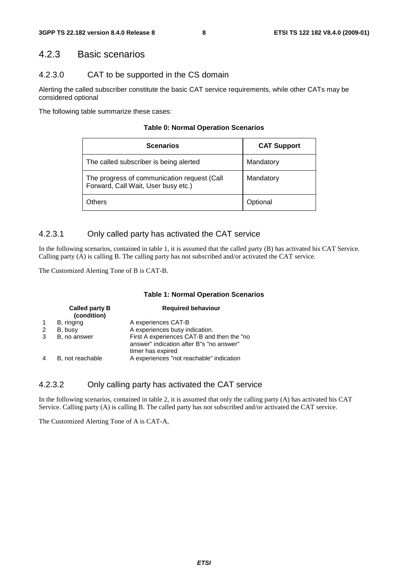#### 4.2.3 Basic scenarios

#### 4.2.3.0 CAT to be supported in the CS domain

Alerting the called subscriber constitute the basic CAT service requirements, while other CATs may be considered optional

The following table summarize these cases:

|  | <b>Table 0: Normal Operation Scenarios</b> |
|--|--------------------------------------------|
|--|--------------------------------------------|

| <b>Scenarios</b>                                                                   | <b>CAT Support</b> |
|------------------------------------------------------------------------------------|--------------------|
| The called subscriber is being alerted                                             | Mandatory          |
| The progress of communication request (Call<br>Forward, Call Wait, User busy etc.) | Mandatory          |
| thers                                                                              | Optional           |

#### 4.2.3.1 Only called party has activated the CAT service

In the following scenarios, contained in table 1, it is assumed that the called party (B) has activated his CAT Service. Calling party (A) is calling B. The calling party has not subscribed and/or activated the CAT service.

The Customized Alerting Tone of B is CAT-B.

#### **Table 1: Normal Operation Scenarios**

|   | <b>Called party B</b><br>(condition) | <b>Required behaviour</b>                                                                                   |
|---|--------------------------------------|-------------------------------------------------------------------------------------------------------------|
|   | B, ringing                           | A experiences CAT-B                                                                                         |
| 2 | B, busy                              | A experiences busy indication.                                                                              |
| 3 | B, no answer                         | First A experiences CAT-B and then the "no<br>answer" indication after B"s "no answer"<br>timer has expired |
|   | B, not reachable                     | A experiences "not reachable" indication                                                                    |

#### 4.2.3.2 Only calling party has activated the CAT service

In the following scenarios, contained in table 2, it is assumed that only the calling party (A) has activated his CAT Service. Calling party (A) is calling B. The called party has not subscribed and/or activated the CAT service.

The Customized Alerting Tone of A is CAT-A,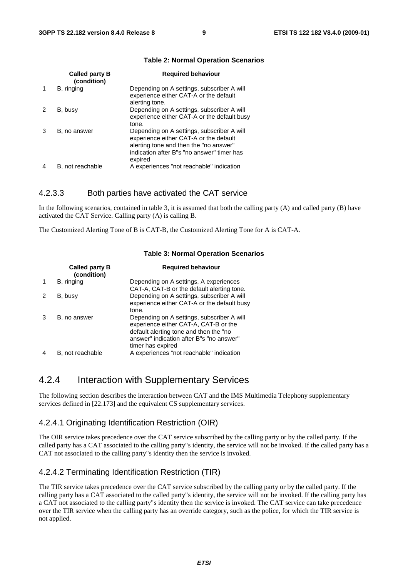|   | <b>Called party B</b><br>(condition) | <b>Required behaviour</b>                                                                                                                                                               |
|---|--------------------------------------|-----------------------------------------------------------------------------------------------------------------------------------------------------------------------------------------|
|   | B, ringing                           | Depending on A settings, subscriber A will<br>experience either CAT-A or the default<br>alerting tone.                                                                                  |
|   | B, busy                              | Depending on A settings, subscriber A will<br>experience either CAT-A or the default busy<br>tone.                                                                                      |
| 3 | B, no answer                         | Depending on A settings, subscriber A will<br>experience either CAT-A or the default<br>alerting tone and then the "no answer"<br>indication after B"s "no answer" timer has<br>expired |
|   | B, not reachable                     | A experiences "not reachable" indication                                                                                                                                                |

#### **Table 2: Normal Operation Scenarios**

#### 4.2.3.3 Both parties have activated the CAT service

In the following scenarios, contained in table 3, it is assumed that both the calling party  $(A)$  and called party  $(B)$  have activated the CAT Service. Calling party (A) is calling B.

The Customized Alerting Tone of B is CAT-B, the Customized Alerting Tone for A is CAT-A.

|   | Called party B<br>(condition) | <b>Required behaviour</b>                                                                                                                                                                      |
|---|-------------------------------|------------------------------------------------------------------------------------------------------------------------------------------------------------------------------------------------|
|   | B, ringing                    | Depending on A settings, A experiences<br>CAT-A, CAT-B or the default alerting tone.                                                                                                           |
| 2 | B, busy                       | Depending on A settings, subscriber A will<br>experience either CAT-A or the default busy<br>tone.                                                                                             |
| 3 | B, no answer                  | Depending on A settings, subscriber A will<br>experience either CAT-A, CAT-B or the<br>default alerting tone and then the "no<br>answer" indication after B"s "no answer"<br>timer has expired |
|   | B, not reachable              | A experiences "not reachable" indication                                                                                                                                                       |

#### **Table 3: Normal Operation Scenarios**

#### 4.2.4 Interaction with Supplementary Services

The following section describes the interaction between CAT and the IMS Multimedia Telephony supplementary services defined in [22.173] and the equivalent CS supplementary services.

#### 4.2.4.1 Originating Identification Restriction (OIR)

The OIR service takes precedence over the CAT service subscribed by the calling party or by the called party. If the called party has a CAT associated to the calling party"s identity, the service will not be invoked. If the called party has a CAT not associated to the calling party"s identity then the service is invoked.

#### 4.2.4.2 Terminating Identification Restriction (TIR)

The TIR service takes precedence over the CAT service subscribed by the calling party or by the called party. If the calling party has a CAT associated to the called party"s identity, the service will not be invoked. If the calling party has a CAT not associated to the calling party"s identity then the service is invoked. The CAT service can take precedence over the TIR service when the calling party has an override category, such as the police, for which the TIR service is not applied.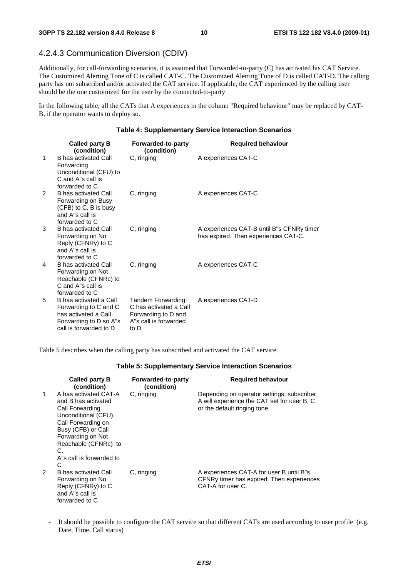#### 4.2.4.3 Communication Diversion (CDIV)

Additionally, for call-forwarding scenarios, it is assumed that Forwarded-to-party (C) has activated his CAT Service. The Customized Alerting Tone of C is called CAT-C. The Customized Alerting Tone of D is called CAT-D. The calling party has not subscribed and/or activated the CAT service. If applicable, the CAT experienced by the calling user should be the one customized for the user by the connected-to-party

In the following table, all the CATs that A experiences in the column "Required behaviour" may be replaced by CAT-B, if the operator wants to deploy so.

#### **Table 4: Supplementary Service Interaction Scenarios**

|              | Called party B<br>(condition)                                                                                               | Forwarded-to-party<br>(condition)                                                                    | <b>Required behaviour</b>                                                         |
|--------------|-----------------------------------------------------------------------------------------------------------------------------|------------------------------------------------------------------------------------------------------|-----------------------------------------------------------------------------------|
| $\mathbf{1}$ | B has activated Call<br>Forwarding<br>Unconditional (CFU) to<br>C and A''s call is<br>forwarded to C                        | C, ringing                                                                                           | A experiences CAT-C                                                               |
| 2            | B has activated Call<br>Forwarding on Busy<br>(CFB) to C, B is busy<br>and A"s call is<br>forwarded to C                    | C, ringing                                                                                           | A experiences CAT-C                                                               |
| 3            | <b>B</b> has activated Call<br>Forwarding on No<br>Reply (CFNRy) to C<br>and A"s call is<br>forwarded to C                  | C, ringing                                                                                           | A experiences CAT-B until B"s CFNRy timer<br>has expired. Then experiences CAT-C. |
| 4            | <b>B</b> has activated Call<br>Forwarding on Not<br>Reachable (CFNRc) to<br>C and A''s call is<br>forwarded to C            | C, ringing                                                                                           | A experiences CAT-C                                                               |
| 5            | B has activated a Call<br>Forwarding to C and C<br>has activated a Call<br>Forwarding to D so A"s<br>call is forwarded to D | Tandem Forwarding:<br>C has activated a Call<br>Forwarding to D and<br>A's call is forwarded<br>to D | A experiences CAT-D                                                               |

Table 5 describes when the calling party has subscribed and activated the CAT service.

#### **Table 5: Supplementary Service Interaction Scenarios**

|               | Called party B<br>(condition)                                                                                                                                                                                           | Forwarded-to-party<br>(condition) | <b>Required behaviour</b>                                                                                                 |
|---------------|-------------------------------------------------------------------------------------------------------------------------------------------------------------------------------------------------------------------------|-----------------------------------|---------------------------------------------------------------------------------------------------------------------------|
| 1             | A has activated CAT-A<br>and B has activated<br>Call Forwarding<br>Unconditional (CFU),<br>Call Forwarding on<br>Busy (CFB) or Call<br>Forwarding on Not<br>Reachable (CFNRc) to<br>C.<br>A's call is forwarded to<br>C | C, ringing                        | Depending on operator settings, subscriber<br>A will experience the CAT set for user B, C<br>or the default ringing tone. |
| $\mathcal{P}$ | B has activated Call<br>Forwarding on No<br>Reply (CFNRy) to C<br>and A"s call is<br>forwarded to C                                                                                                                     | C, ringing                        | A experiences CAT-A for user B until B"s<br>CFNRy timer has expired. Then experiences<br>CAT-A for user C.                |

It should be possible to configure the CAT service so that different CATs are used according to user profile (e.g. Date, Time, Call status)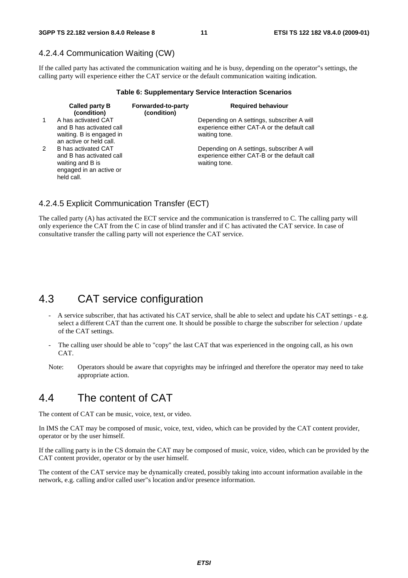#### 4.2.4.4 Communication Waiting (CW)

If the called party has activated the communication waiting and he is busy, depending on the operator"s settings, the calling party will experience either the CAT service or the default communication waiting indication.

#### **Table 6: Supplementary Service Interaction Scenarios**

|              | <b>Called party B</b><br>(condition)                                                                         | Forwarded-to-party<br>(condition) | <b>Required behaviour</b>                                                                                  |
|--------------|--------------------------------------------------------------------------------------------------------------|-----------------------------------|------------------------------------------------------------------------------------------------------------|
| $\mathbf{1}$ | A has activated CAT<br>and B has activated call<br>waiting. B is engaged in<br>an active or held call.       |                                   | Depending on A settings, subscriber A will<br>experience either CAT-A or the default call<br>waiting tone. |
| $\mathbf{2}$ | B has activated CAT<br>and B has activated call<br>waiting and B is<br>engaged in an active or<br>held call. |                                   | Depending on A settings, subscriber A will<br>experience either CAT-B or the default call<br>waiting tone. |

#### 4.2.4.5 Explicit Communication Transfer (ECT)

The called party (A) has activated the ECT service and the communication is transferred to C. The calling party will only experience the CAT from the C in case of blind transfer and if C has activated the CAT service. In case of consultative transfer the calling party will not experience the CAT service.

### 4.3 CAT service configuration

- A service subscriber, that has activated his CAT service, shall be able to select and update his CAT settings e.g. select a different CAT than the current one. It should be possible to charge the subscriber for selection / update of the CAT settings.
- The calling user should be able to "copy" the last CAT that was experienced in the ongoing call, as his own CAT.
- Note: Operators should be aware that copyrights may be infringed and therefore the operator may need to take appropriate action.

### 4.4 The content of CAT

The content of CAT can be music, voice, text, or video.

In IMS the CAT may be composed of music, voice, text, video, which can be provided by the CAT content provider, operator or by the user himself.

If the calling party is in the CS domain the CAT may be composed of music, voice, video, which can be provided by the CAT content provider, operator or by the user himself.

The content of the CAT service may be dynamically created, possibly taking into account information available in the network, e.g. calling and/or called user"s location and/or presence information.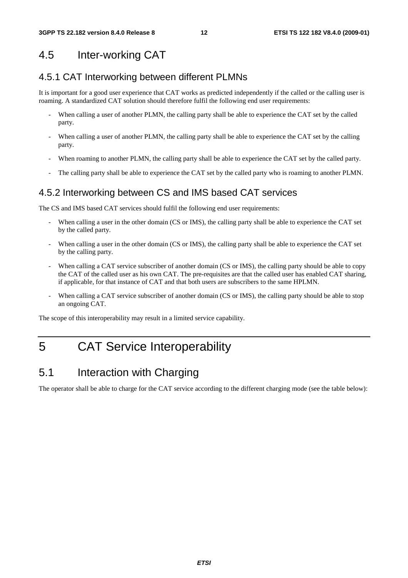# 4.5 Inter-working CAT

### 4.5.1 CAT Interworking between different PLMNs

It is important for a good user experience that CAT works as predicted independently if the called or the calling user is roaming. A standardized CAT solution should therefore fulfil the following end user requirements:

- When calling a user of another PLMN, the calling party shall be able to experience the CAT set by the called party.
- When calling a user of another PLMN, the calling party shall be able to experience the CAT set by the calling party.
- When roaming to another PLMN, the calling party shall be able to experience the CAT set by the called party.
- The calling party shall be able to experience the CAT set by the called party who is roaming to another PLMN.

### 4.5.2 Interworking between CS and IMS based CAT services

The CS and IMS based CAT services should fulfil the following end user requirements:

- When calling a user in the other domain (CS or IMS), the calling party shall be able to experience the CAT set by the called party.
- When calling a user in the other domain (CS or IMS), the calling party shall be able to experience the CAT set by the calling party.
- When calling a CAT service subscriber of another domain (CS or IMS), the calling party should be able to copy the CAT of the called user as his own CAT. The pre-requisites are that the called user has enabled CAT sharing, if applicable, for that instance of CAT and that both users are subscribers to the same HPLMN.
- When calling a CAT service subscriber of another domain (CS or IMS), the calling party should be able to stop an ongoing CAT.

The scope of this interoperability may result in a limited service capability.

# 5 CAT Service Interoperability

### 5.1 Interaction with Charging

The operator shall be able to charge for the CAT service according to the different charging mode (see the table below):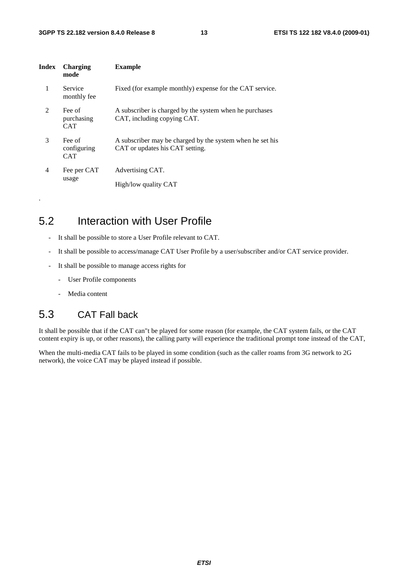| Index | Charging<br>mode                    | <b>Example</b>                                                                               |
|-------|-------------------------------------|----------------------------------------------------------------------------------------------|
| 1     | Service<br>monthly fee              | Fixed (for example monthly) expense for the CAT service.                                     |
| 2     | Fee of<br>purchasing<br><b>CAT</b>  | A subscriber is charged by the system when he purchases<br>CAT, including copying CAT.       |
| 3     | Fee of<br>configuring<br><b>CAT</b> | A subscriber may be charged by the system when he set his<br>CAT or updates his CAT setting. |
| 4     | Fee per CAT<br>usage                | Advertising CAT.<br>High/low quality CAT                                                     |

# 5.2 Interaction with User Profile

- It shall be possible to store a User Profile relevant to CAT.
- It shall be possible to access/manage CAT User Profile by a user/subscriber and/or CAT service provider.
- It shall be possible to manage access rights for
	- User Profile components
	- Media content

.

# 5.3 CAT Fall back

It shall be possible that if the CAT can"t be played for some reason (for example, the CAT system fails, or the CAT content expiry is up, or other reasons), the calling party will experience the traditional prompt tone instead of the CAT,

When the multi-media CAT fails to be played in some condition (such as the caller roams from 3G network to 2G network), the voice CAT may be played instead if possible.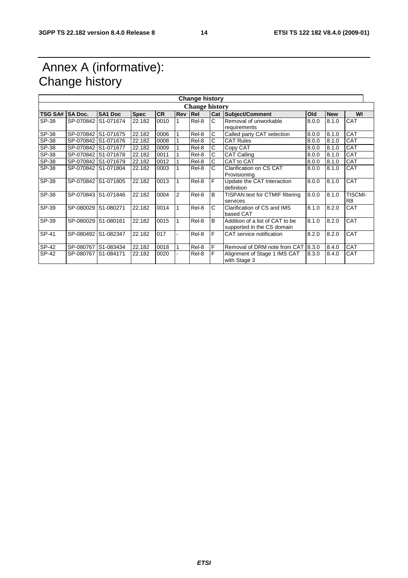# Annex A (informative): Change history

|                | <b>Change history</b> |                     |             |           |     |            |    |                                                               |       |            |                                  |
|----------------|-----------------------|---------------------|-------------|-----------|-----|------------|----|---------------------------------------------------------------|-------|------------|----------------------------------|
|                | <b>Change history</b> |                     |             |           |     |            |    |                                                               |       |            |                                  |
| <b>TSG SA#</b> | <b>SA Doc.</b>        | <b>SA1 Doc</b>      | <b>Spec</b> | <b>CR</b> | Rev | <b>Rel</b> |    | Cat Subject/Comment                                           | Old   | <b>New</b> | WI                               |
| SP-38          |                       | SP-070842 S1-071674 | 22.182      | 0010      |     | Rel-8      | C. | Removal of unworkable<br>requirements                         | 8.0.0 | 8.1.0      | <b>CAT</b>                       |
| SP-38          |                       | SP-070842 S1-071675 | 22.182      | 0006      |     | Rel-8      | C  | Called party CAT selection                                    | 8.0.0 | 8.1.0      | CAT                              |
| SP-38          |                       | SP-070842 S1-071676 | 22.182      | 0008      |     | Rel-8      | C  | <b>CAT Rules</b>                                              | 8.0.0 | 8.1.0      | CAT                              |
| SP-38          |                       | SP-070842 S1-071677 | 22.182      | 0009      |     | Rel-8      | С  | Copy CAT                                                      | 8.0.0 | 8.1.0      | CAT                              |
| SP-38          |                       | SP-070842 S1-071678 | 22.182      | 0011      |     | Rel-8      | C  | <b>CAT Calling</b>                                            | 8.0.0 | 8.1.0      | <b>CAT</b>                       |
| SP-38          |                       | SP-070842 S1-071679 | 22.182      | 0012      |     | Rel-8      | C  | CAT to CAT                                                    | 8.0.0 | 8.1.0      | <b>CAT</b>                       |
| SP-38          |                       | SP-070842 S1-071804 | 22.182      | 0003      |     | Rel-8      | С  | Clarification on CS CAT<br>Provisioning                       | 8.0.0 | 8.1.0      | <b>CAT</b>                       |
| SP-38          |                       | SP-070842 S1-071805 | 22.182      | 0013      |     | Rel-8      | F  | Update the CAT Interaction<br>definition                      | 8.0.0 | 8.1.0      | CAT                              |
| SP-38          |                       | SP-070843 S1-071846 | 22.182      | 0004      | 2   | Rel-8      | B  | TISPAN text for CTMIF filtering<br>services                   | 8.0.0 | 8.1.0      | <b>TISCMI-</b><br>R <sub>8</sub> |
| SP-39          |                       | SP-080029 S1-080271 | 22.182      | 0014      |     | Rel-8      | C  | Clarification of CS and IMS<br>based CAT                      | 8.1.0 | 8.2.0      | CAT                              |
| SP-39          |                       | SP-080029 S1-080161 | 22.182      | 0015      |     | Rel-8      | B  | Addition of a list of CAT to be<br>supported in the CS domain | 8.1.0 | 8.2.0      | CAT                              |
| SP-41          |                       | SP-080492 S1-082347 | 22.182      | 017       |     | Rel-8      | F  | CAT service notification                                      | 8.2.0 | 8.2.0      | CAT                              |
| SP-42          |                       | SP-080767 S1-083434 | 22.182      | 0018      |     | Rel-8      | F  | Removal of DRM note from CAT                                  | 8.3.0 | 8.4.0      | <b>CAT</b>                       |
| SP-42          |                       | SP-080767 S1-084171 | 22.182      | 0020      |     | Rel-8      | F  | Alignment of Stage 1 IMS CAT<br>with Stage 3                  | 8.3.0 | 8.4.0      | CAT                              |